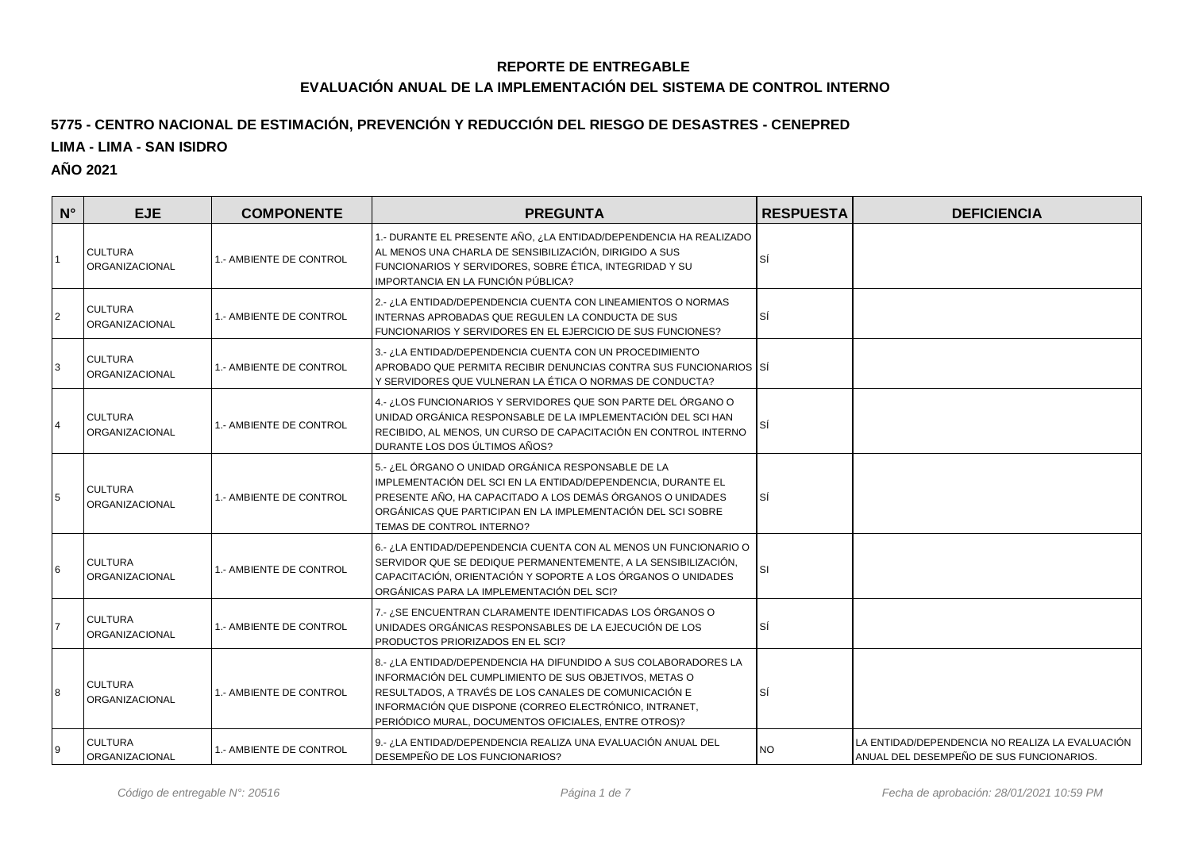### **REPORTE DE ENTREGABLE**

## **EVALUACIÓN ANUAL DE LA IMPLEMENTACIÓN DEL SISTEMA DE CONTROL INTERNO**

# **5775 - CENTRO NACIONAL DE ESTIMACIÓN, PREVENCIÓN Y REDUCCIÓN DEL RIESGO DE DESASTRES - CENEPRED**

### **LIMA - LIMA - SAN ISIDRO**

### **AÑO 2021**

| $\mathsf{N}^\circ$ | <b>EJE</b>                              | <b>COMPONENTE</b>       | <b>PREGUNTA</b>                                                                                                                                                                                                                                                                                      | <b>RESPUESTA</b> | <b>DEFICIENCIA</b>                                                                          |
|--------------------|-----------------------------------------|-------------------------|------------------------------------------------------------------------------------------------------------------------------------------------------------------------------------------------------------------------------------------------------------------------------------------------------|------------------|---------------------------------------------------------------------------------------------|
|                    | <b>CULTURA</b><br>ORGANIZACIONAL        | 1.- AMBIENTE DE CONTROL | 1.- DURANTE EL PRESENTE AÑO, ¿LA ENTIDAD/DEPENDENCIA HA REALIZADO<br>AL MENOS UNA CHARLA DE SENSIBILIZACIÓN, DIRIGIDO A SUS<br>FUNCIONARIOS Y SERVIDORES, SOBRE ÉTICA, INTEGRIDAD Y SU<br>IMPORTANCIA EN LA FUNCIÓN PÚBLICA?                                                                         | SÍ               |                                                                                             |
| 2                  | <b>CULTURA</b><br><b>ORGANIZACIONAL</b> | 1.- AMBIENTE DE CONTROL | 2.- ¿LA ENTIDAD/DEPENDENCIA CUENTA CON LINEAMIENTOS O NORMAS<br>INTERNAS APROBADAS QUE REGULEN LA CONDUCTA DE SUS<br>FUNCIONARIOS Y SERVIDORES EN EL EJERCICIO DE SUS FUNCIONES?                                                                                                                     | SÍ               |                                                                                             |
| 3                  | <b>CULTURA</b><br>ORGANIZACIONAL        | 1.- AMBIENTE DE CONTROL | 3.- ¿LA ENTIDAD/DEPENDENCIA CUENTA CON UN PROCEDIMIENTO<br>APROBADO QUE PERMITA RECIBIR DENUNCIAS CONTRA SUS FUNCIONARIOS SÍ<br>Y SERVIDORES QUE VULNERAN LA ÉTICA O NORMAS DE CONDUCTA?                                                                                                             |                  |                                                                                             |
| $\overline{4}$     | <b>CULTURA</b><br><b>ORGANIZACIONAL</b> | 1.- AMBIENTE DE CONTROL | 4.- ¿LOS FUNCIONARIOS Y SERVIDORES QUE SON PARTE DEL ÓRGANO O<br>UNIDAD ORGÁNICA RESPONSABLE DE LA IMPLEMENTACIÓN DEL SCI HAN<br>RECIBIDO, AL MENOS, UN CURSO DE CAPACITACIÓN EN CONTROL INTERNO<br>DURANTE LOS DOS ÚLTIMOS AÑOS?                                                                    | SÍ               |                                                                                             |
| 5                  | <b>CULTURA</b><br>ORGANIZACIONAL        | 1.- AMBIENTE DE CONTROL | 5.- ¿EL ÓRGANO O UNIDAD ORGÁNICA RESPONSABLE DE LA<br>IMPLEMENTACIÓN DEL SCI EN LA ENTIDAD/DEPENDENCIA, DURANTE EL<br>PRESENTE AÑO, HA CAPACITADO A LOS DEMÁS ÓRGANOS O UNIDADES<br>ORGÁNICAS QUE PARTICIPAN EN LA IMPLEMENTACIÓN DEL SCI SOBRE<br>TEMAS DE CONTROL INTERNO?                         | SÍ               |                                                                                             |
| 6                  | <b>CULTURA</b><br><b>ORGANIZACIONAL</b> | 1.- AMBIENTE DE CONTROL | 6.- ¿LA ENTIDAD/DEPENDENCIA CUENTA CON AL MENOS UN FUNCIONARIO O<br>SERVIDOR QUE SE DEDIQUE PERMANENTEMENTE, A LA SENSIBILIZACIÓN,<br>CAPACITACIÓN, ORIENTACIÓN Y SOPORTE A LOS ÓRGANOS O UNIDADES<br>ORGÁNICAS PARA LA IMPLEMENTACIÓN DEL SCI?                                                      | SI               |                                                                                             |
|                    | <b>CULTURA</b><br>ORGANIZACIONAL        | 1.- AMBIENTE DE CONTROL | 7.- ¿SE ENCUENTRAN CLARAMENTE IDENTIFICADAS LOS ÓRGANOS O<br>UNIDADES ORGÁNICAS RESPONSABLES DE LA EJECUCIÓN DE LOS<br>PRODUCTOS PRIORIZADOS EN EL SCI?                                                                                                                                              | SÍ               |                                                                                             |
| 8                  | <b>CULTURA</b><br>ORGANIZACIONAL        | 1.- AMBIENTE DE CONTROL | 8.- ¿LA ENTIDAD/DEPENDENCIA HA DIFUNDIDO A SUS COLABORADORES LA<br>INFORMACIÓN DEL CUMPLIMIENTO DE SUS OBJETIVOS, METAS O<br>RESULTADOS, A TRAVÉS DE LOS CANALES DE COMUNICACIÓN E<br>INFORMACIÓN QUE DISPONE (CORREO ELECTRÓNICO, INTRANET,<br>PERIÓDICO MURAL, DOCUMENTOS OFICIALES, ENTRE OTROS)? | SÍ               |                                                                                             |
| 9                  | <b>CULTURA</b><br>ORGANIZACIONAL        | 1.- AMBIENTE DE CONTROL | 9.- ¿LA ENTIDAD/DEPENDENCIA REALIZA UNA EVALUACIÓN ANUAL DEL<br>DESEMPEÑO DE LOS FUNCIONARIOS?                                                                                                                                                                                                       | <b>NO</b>        | LA ENTIDAD/DEPENDENCIA NO REALIZA LA EVALUACIÓN<br>ANUAL DEL DESEMPEÑO DE SUS FUNCIONARIOS. |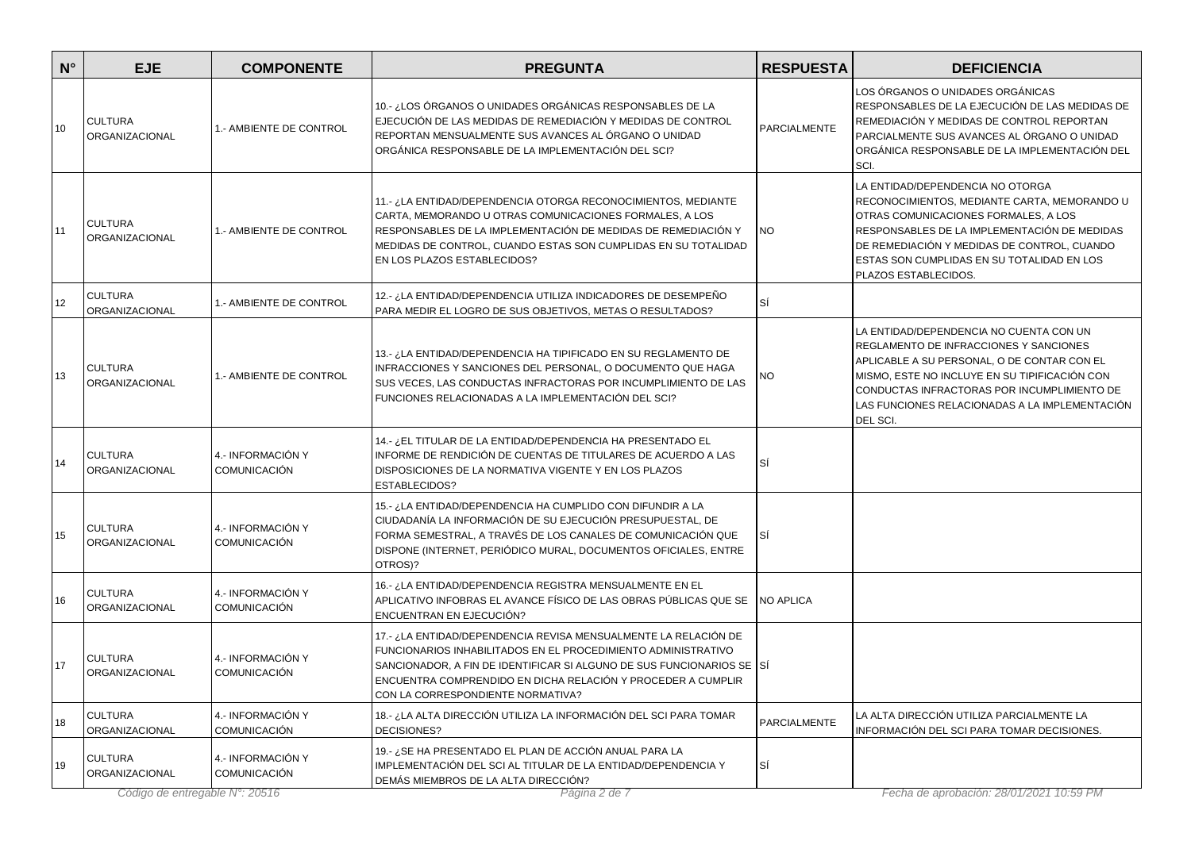| $N^{\circ}$ | <b>EJE</b>                                                         | <b>COMPONENTE</b>                        | <b>PREGUNTA</b>                                                                                                                                                                                                                                                                                                | <b>RESPUESTA</b>    | <b>DEFICIENCIA</b>                                                                                                                                                                                                                                                                             |
|-------------|--------------------------------------------------------------------|------------------------------------------|----------------------------------------------------------------------------------------------------------------------------------------------------------------------------------------------------------------------------------------------------------------------------------------------------------------|---------------------|------------------------------------------------------------------------------------------------------------------------------------------------------------------------------------------------------------------------------------------------------------------------------------------------|
| 10          | <b>CULTURA</b><br>ORGANIZACIONAL                                   | 1.- AMBIENTE DE CONTROL                  | 10.- ¿LOS ÓRGANOS O UNIDADES ORGÁNICAS RESPONSABLES DE LA<br>EJECUCIÓN DE LAS MEDIDAS DE REMEDIACIÓN Y MEDIDAS DE CONTROL<br>REPORTAN MENSUALMENTE SUS AVANCES AL ÓRGANO O UNIDAD<br>ORGÁNICA RESPONSABLE DE LA IMPLEMENTACIÓN DEL SCI?                                                                        | <b>PARCIALMENTE</b> | LOS ÓRGANOS O UNIDADES ORGÁNICAS<br>RESPONSABLES DE LA EJECUCIÓN DE LAS MEDIDAS DE<br>REMEDIACIÓN Y MEDIDAS DE CONTROL REPORTAN<br>PARCIALMENTE SUS AVANCES AL ÓRGANO O UNIDAD<br>ORGÁNICA RESPONSABLE DE LA IMPLEMENTACIÓN DEL<br>SCI.                                                        |
| 11          | <b>CULTURA</b><br>ORGANIZACIONAL                                   | 1.- AMBIENTE DE CONTROL                  | 11.- ¿LA ENTIDAD/DEPENDENCIA OTORGA RECONOCIMIENTOS, MEDIANTE<br>CARTA, MEMORANDO U OTRAS COMUNICACIONES FORMALES, A LOS<br>RESPONSABLES DE LA IMPLEMENTACIÓN DE MEDIDAS DE REMEDIACIÓN Y<br>MEDIDAS DE CONTROL, CUANDO ESTAS SON CUMPLIDAS EN SU TOTALIDAD<br>EN LOS PLAZOS ESTABLECIDOS?                     | <b>NO</b>           | LA ENTIDAD/DEPENDENCIA NO OTORGA<br>RECONOCIMIENTOS, MEDIANTE CARTA, MEMORANDO U<br>OTRAS COMUNICACIONES FORMALES, A LOS<br>RESPONSABLES DE LA IMPLEMENTACIÓN DE MEDIDAS<br>DE REMEDIACIÓN Y MEDIDAS DE CONTROL, CUANDO<br>ESTAS SON CUMPLIDAS EN SU TOTALIDAD EN LOS<br>PLAZOS ESTABLECIDOS.  |
| 12          | <b>CULTURA</b><br>ORGANIZACIONAL                                   | I.- AMBIENTE DE CONTROL                  | 12.- ¿LA ENTIDAD/DEPENDENCIA UTILIZA INDICADORES DE DESEMPEÑO<br>PARA MEDIR EL LOGRO DE SUS OBJETIVOS, METAS O RESULTADOS?                                                                                                                                                                                     | SÍ                  |                                                                                                                                                                                                                                                                                                |
| 13          | <b>CULTURA</b><br>ORGANIZACIONAL                                   | 1.- AMBIENTE DE CONTROL                  | 13.- ¿LA ENTIDAD/DEPENDENCIA HA TIPIFICADO EN SU REGLAMENTO DE<br>INFRACCIONES Y SANCIONES DEL PERSONAL, O DOCUMENTO QUE HAGA<br>SUS VECES, LAS CONDUCTAS INFRACTORAS POR INCUMPLIMIENTO DE LAS<br>FUNCIONES RELACIONADAS A LA IMPLEMENTACIÓN DEL SCI?                                                         | NO.                 | LA ENTIDAD/DEPENDENCIA NO CUENTA CON UN<br>REGLAMENTO DE INFRACCIONES Y SANCIONES<br>APLICABLE A SU PERSONAL, O DE CONTAR CON EL<br>MISMO, ESTE NO INCLUYE EN SU TIPIFICACIÓN CON<br>CONDUCTAS INFRACTORAS POR INCUMPLIMIENTO DE<br>LAS FUNCIONES RELACIONADAS A LA IMPLEMENTACIÓN<br>DEL SCI. |
| 14          | <b>CULTURA</b><br>ORGANIZACIONAL                                   | 4.- INFORMACIÓN Y<br><b>COMUNICACIÓN</b> | 14.- ¿EL TITULAR DE LA ENTIDAD/DEPENDENCIA HA PRESENTADO EL<br>INFORME DE RENDICIÓN DE CUENTAS DE TITULARES DE ACUERDO A LAS<br>DISPOSICIONES DE LA NORMATIVA VIGENTE Y EN LOS PLAZOS<br>ESTABLECIDOS?                                                                                                         | SÍ                  |                                                                                                                                                                                                                                                                                                |
| 15          | <b>CULTURA</b><br>ORGANIZACIONAL                                   | 4.- INFORMACIÓN Y<br><b>COMUNICACIÓN</b> | 15.- ¿LA ENTIDAD/DEPENDENCIA HA CUMPLIDO CON DIFUNDIR A LA<br>CIUDADANÍA LA INFORMACIÓN DE SU EJECUCIÓN PRESUPUESTAL, DE<br>FORMA SEMESTRAL, A TRAVÉS DE LOS CANALES DE COMUNICACIÓN QUE<br>DISPONE (INTERNET, PERIÓDICO MURAL, DOCUMENTOS OFICIALES, ENTRE<br>OTROS)?                                         | lsí                 |                                                                                                                                                                                                                                                                                                |
| 16          | <b>CULTURA</b><br>ORGANIZACIONAL                                   | 4.- INFORMACIÓN Y<br><b>COMUNICACIÓN</b> | 16.- ¿LA ENTIDAD/DEPENDENCIA REGISTRA MENSUALMENTE EN EL<br>APLICATIVO INFOBRAS EL AVANCE FÍSICO DE LAS OBRAS PÚBLICAS QUE SE<br>ENCUENTRAN EN EJECUCIÓN?                                                                                                                                                      | NO APLICA           |                                                                                                                                                                                                                                                                                                |
| 17          | <b>CULTURA</b><br><b>ORGANIZACIONAL</b>                            | 4.- INFORMACIÓN Y<br><b>COMUNICACIÓN</b> | 17.- ¿LA ENTIDAD/DEPENDENCIA REVISA MENSUALMENTE LA RELACIÓN DE<br>FUNCIONARIOS INHABILITADOS EN EL PROCEDIMIENTO ADMINISTRATIVO<br>SANCIONADOR, A FIN DE IDENTIFICAR SI ALGUNO DE SUS FUNCIONARIOS SE SÍ<br>ENCUENTRA COMPRENDIDO EN DICHA RELACIÓN Y PROCEDER A CUMPLIR<br>CON LA CORRESPONDIENTE NORMATIVA? |                     |                                                                                                                                                                                                                                                                                                |
| 18          | <b>CULTURA</b><br>ORGANIZACIONAL                                   | 4.- INFORMACIÓN Y<br>COMUNICACIÓN        | 18.- ¿LA ALTA DIRECCIÓN UTILIZA LA INFORMACIÓN DEL SCI PARA TOMAR<br>DECISIONES?                                                                                                                                                                                                                               | PARCIALMENTE        | LA ALTA DIRECCIÓN UTILIZA PARCIALMENTE LA<br>INFORMACIÓN DEL SCI PARA TOMAR DECISIONES.                                                                                                                                                                                                        |
| 19          | <b>CULTURA</b><br>ORGANIZACIONAL<br>Código de entregable N°: 20516 | 4.- INFORMACIÓN Y<br><b>COMUNICACIÓN</b> | 19.- ¿SE HA PRESENTADO EL PLAN DE ACCIÓN ANUAL PARA LA<br>IMPLEMENTACIÓN DEL SCI AL TITULAR DE LA ENTIDAD/DEPENDENCIA Y<br>DEMÁS MIEMBROS DE LA ALTA DIRECCIÓN?<br>Página 2 de 7                                                                                                                               | SÍ                  | Fecha de aprobación: 28/01/2021 10:59 PM                                                                                                                                                                                                                                                       |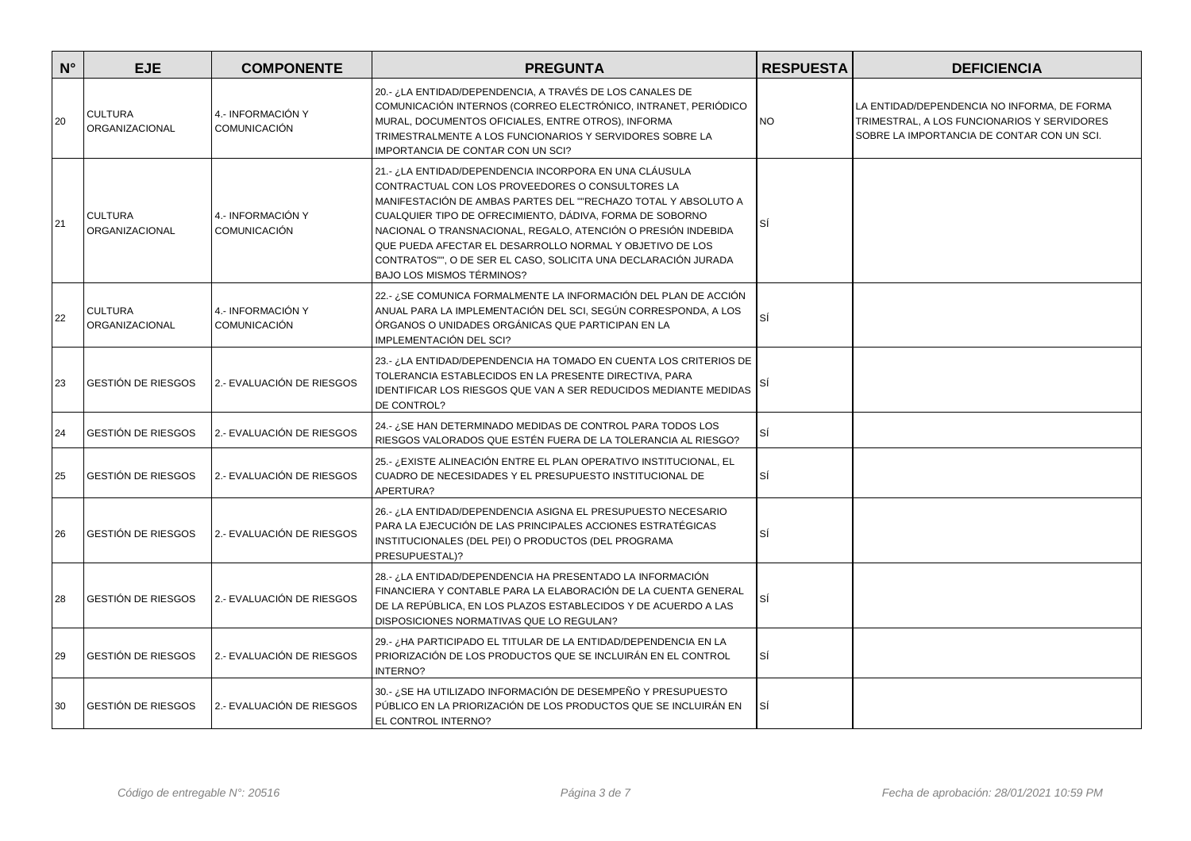| $\mathsf{N}^\circ$ | <b>EJE</b>                              | <b>COMPONENTE</b>                        | <b>PREGUNTA</b>                                                                                                                                                                                                                                                                                                                                                                                                                                                             | <b>RESPUESTA</b> | <b>DEFICIENCIA</b>                                                                                                                       |
|--------------------|-----------------------------------------|------------------------------------------|-----------------------------------------------------------------------------------------------------------------------------------------------------------------------------------------------------------------------------------------------------------------------------------------------------------------------------------------------------------------------------------------------------------------------------------------------------------------------------|------------------|------------------------------------------------------------------------------------------------------------------------------------------|
| 20                 | <b>CULTURA</b><br><b>ORGANIZACIONAL</b> | 4.- INFORMACIÓN Y<br><b>COMUNICACIÓN</b> | 20.- ¿LA ENTIDAD/DEPENDENCIA, A TRAVÉS DE LOS CANALES DE<br>COMUNICACIÓN INTERNOS (CORREO ELECTRÓNICO, INTRANET, PERIÓDICO<br>MURAL, DOCUMENTOS OFICIALES, ENTRE OTROS), INFORMA<br>TRIMESTRALMENTE A LOS FUNCIONARIOS Y SERVIDORES SOBRE LA<br>IMPORTANCIA DE CONTAR CON UN SCI?                                                                                                                                                                                           | <b>NO</b>        | LA ENTIDAD/DEPENDENCIA NO INFORMA, DE FORMA<br>TRIMESTRAL, A LOS FUNCIONARIOS Y SERVIDORES<br>SOBRE LA IMPORTANCIA DE CONTAR CON UN SCI. |
| 21                 | <b>CULTURA</b><br><b>ORGANIZACIONAL</b> | 4.- INFORMACIÓN Y<br><b>COMUNICACIÓN</b> | 21.- ¿LA ENTIDAD/DEPENDENCIA INCORPORA EN UNA CLÁUSULA<br>CONTRACTUAL CON LOS PROVEEDORES O CONSULTORES LA<br>MANIFESTACIÓN DE AMBAS PARTES DEL ""RECHAZO TOTAL Y ABSOLUTO A<br>CUALQUIER TIPO DE OFRECIMIENTO, DÁDIVA, FORMA DE SOBORNO<br>NACIONAL O TRANSNACIONAL, REGALO, ATENCIÓN O PRESIÓN INDEBIDA<br>QUE PUEDA AFECTAR EL DESARROLLO NORMAL Y OBJETIVO DE LOS<br>CONTRATOS"", O DE SER EL CASO, SOLICITA UNA DECLARACIÓN JURADA<br><b>BAJO LOS MISMOS TÉRMINOS?</b> | SÍ               |                                                                                                                                          |
| 22                 | <b>CULTURA</b><br>ORGANIZACIONAL        | 4.- INFORMACIÓN Y<br><b>COMUNICACIÓN</b> | 22.- ¿SE COMUNICA FORMALMENTE LA INFORMACIÓN DEL PLAN DE ACCIÓN<br>ANUAL PARA LA IMPLEMENTACIÓN DEL SCI, SEGÚN CORRESPONDA, A LOS<br>ÓRGANOS O UNIDADES ORGÁNICAS QUE PARTICIPAN EN LA<br>IMPLEMENTACIÓN DEL SCI?                                                                                                                                                                                                                                                           | SÍ               |                                                                                                                                          |
| 23                 | <b>GESTIÓN DE RIESGOS</b>               | 2.- EVALUACIÓN DE RIESGOS                | 23.- ¿LA ENTIDAD/DEPENDENCIA HA TOMADO EN CUENTA LOS CRITERIOS DE<br>TOLERANCIA ESTABLECIDOS EN LA PRESENTE DIRECTIVA, PARA<br>IDENTIFICAR LOS RIESGOS QUE VAN A SER REDUCIDOS MEDIANTE MEDIDAS<br>DE CONTROL?                                                                                                                                                                                                                                                              | SI               |                                                                                                                                          |
| 24                 | <b>GESTIÓN DE RIESGOS</b>               | 2.- EVALUACIÓN DE RIESGOS                | 24.- ¿SE HAN DETERMINADO MEDIDAS DE CONTROL PARA TODOS LOS<br>RIESGOS VALORADOS QUE ESTÉN FUERA DE LA TOLERANCIA AL RIESGO?                                                                                                                                                                                                                                                                                                                                                 | SÍ               |                                                                                                                                          |
| 25                 | <b>GESTIÓN DE RIESGOS</b>               | 2.- EVALUACIÓN DE RIESGOS                | 25.- ¿EXISTE ALINEACIÓN ENTRE EL PLAN OPERATIVO INSTITUCIONAL, EL<br>CUADRO DE NECESIDADES Y EL PRESUPUESTO INSTITUCIONAL DE<br>APERTURA?                                                                                                                                                                                                                                                                                                                                   | SÍ               |                                                                                                                                          |
| 26                 | <b>GESTIÓN DE RIESGOS</b>               | 2.- EVALUACIÓN DE RIESGOS                | 26.- ¿LA ENTIDAD/DEPENDENCIA ASIGNA EL PRESUPUESTO NECESARIO<br>PARA LA EJECUCIÓN DE LAS PRINCIPALES ACCIONES ESTRATÉGICAS<br>INSTITUCIONALES (DEL PEI) O PRODUCTOS (DEL PROGRAMA<br>PRESUPUESTAL)?                                                                                                                                                                                                                                                                         | SÍ               |                                                                                                                                          |
| 28                 | <b>GESTIÓN DE RIESGOS</b>               | 2.- EVALUACIÓN DE RIESGOS                | 28.- ¿LA ENTIDAD/DEPENDENCIA HA PRESENTADO LA INFORMACIÓN<br>FINANCIERA Y CONTABLE PARA LA ELABORACIÓN DE LA CUENTA GENERAL<br>DE LA REPÚBLICA, EN LOS PLAZOS ESTABLECIDOS Y DE ACUERDO A LAS<br>DISPOSICIONES NORMATIVAS QUE LO REGULAN?                                                                                                                                                                                                                                   | SÍ               |                                                                                                                                          |
| 29                 | <b>GESTIÓN DE RIESGOS</b>               | 2.- EVALUACIÓN DE RIESGOS                | 29.- ¿HA PARTICIPADO EL TITULAR DE LA ENTIDAD/DEPENDENCIA EN LA<br>PRIORIZACIÓN DE LOS PRODUCTOS QUE SE INCLUIRÁN EN EL CONTROL<br><b>INTERNO?</b>                                                                                                                                                                                                                                                                                                                          | SÍ               |                                                                                                                                          |
| 30                 | <b>GESTIÓN DE RIESGOS</b>               | 2.- EVALUACIÓN DE RIESGOS                | 30.- ¿SE HA UTILIZADO INFORMACIÓN DE DESEMPEÑO Y PRESUPUESTO<br>PÚBLICO EN LA PRIORIZACIÓN DE LOS PRODUCTOS QUE SE INCLUIRÁN EN<br>EL CONTROL INTERNO?                                                                                                                                                                                                                                                                                                                      | lsí              |                                                                                                                                          |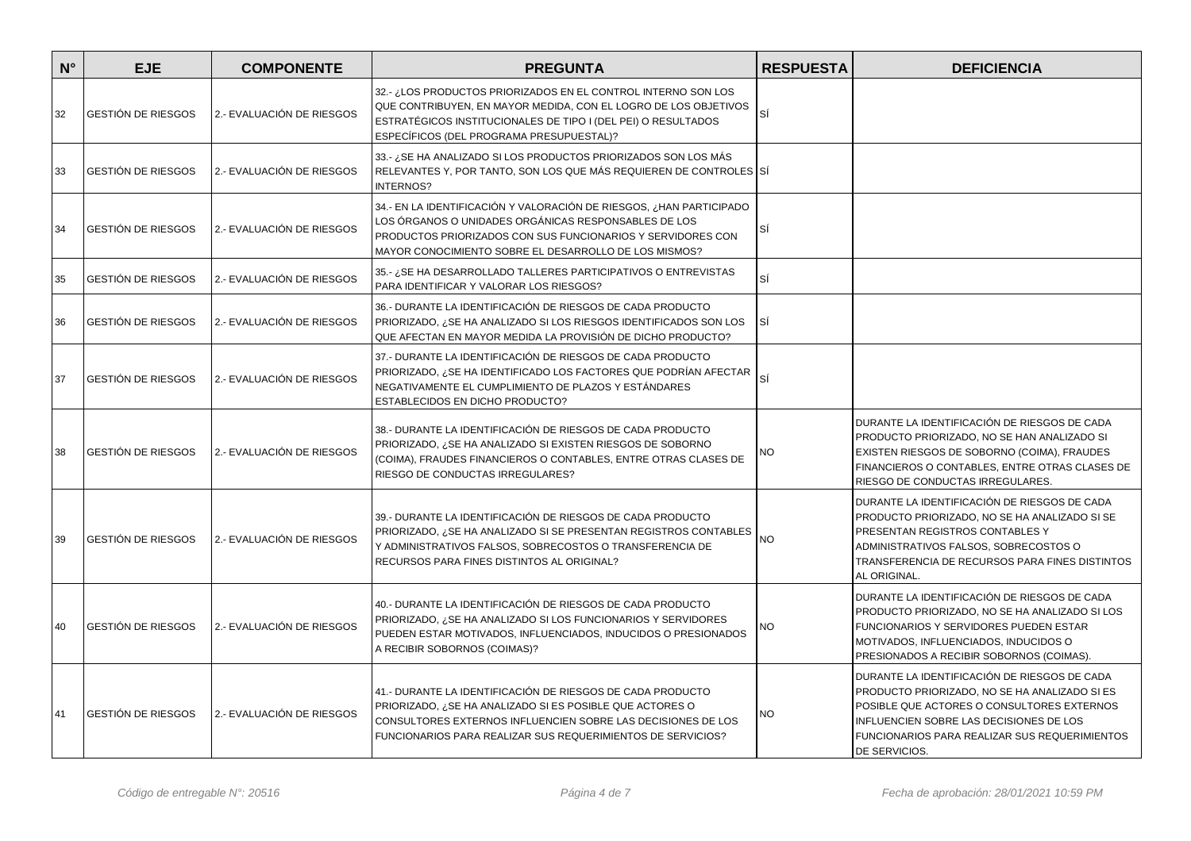| $N^{\circ}$ | <b>EJE</b>                | <b>COMPONENTE</b>         | <b>PREGUNTA</b>                                                                                                                                                                                                                                       | <b>RESPUESTA</b> | <b>DEFICIENCIA</b>                                                                                                                                                                                                                                              |
|-------------|---------------------------|---------------------------|-------------------------------------------------------------------------------------------------------------------------------------------------------------------------------------------------------------------------------------------------------|------------------|-----------------------------------------------------------------------------------------------------------------------------------------------------------------------------------------------------------------------------------------------------------------|
| 32          | <b>GESTIÓN DE RIESGOS</b> | 2.- EVALUACIÓN DE RIESGOS | 32.- ¿LOS PRODUCTOS PRIORIZADOS EN EL CONTROL INTERNO SON LOS<br>QUE CONTRIBUYEN, EN MAYOR MEDIDA, CON EL LOGRO DE LOS OBJETIVOS<br>ESTRATÉGICOS INSTITUCIONALES DE TIPO I (DEL PEI) O RESULTADOS<br>ESPECÍFICOS (DEL PROGRAMA PRESUPUESTAL)?         | ΙSί              |                                                                                                                                                                                                                                                                 |
| 33          | <b>GESTIÓN DE RIESGOS</b> | 2.- EVALUACIÓN DE RIESGOS | 33.- ¿SE HA ANALIZADO SI LOS PRODUCTOS PRIORIZADOS SON LOS MÁS<br>RELEVANTES Y, POR TANTO, SON LOS QUE MÁS REQUIEREN DE CONTROLES SÍ<br><b>INTERNOS?</b>                                                                                              |                  |                                                                                                                                                                                                                                                                 |
| 34          | <b>GESTIÓN DE RIESGOS</b> | 2.- EVALUACIÓN DE RIESGOS | 34.- EN LA IDENTIFICACIÓN Y VALORACIÓN DE RIESGOS, ¿HAN PARTICIPADO<br>LOS ÓRGANOS O UNIDADES ORGÁNICAS RESPONSABLES DE LOS<br>PRODUCTOS PRIORIZADOS CON SUS FUNCIONARIOS Y SERVIDORES CON<br>MAYOR CONOCIMIENTO SOBRE EL DESARROLLO DE LOS MISMOS?   | ΙSΙ              |                                                                                                                                                                                                                                                                 |
| 35          | <b>GESTIÓN DE RIESGOS</b> | 2.- EVALUACIÓN DE RIESGOS | 35.- ¿SE HA DESARROLLADO TALLERES PARTICIPATIVOS O ENTREVISTAS<br>PARA IDENTIFICAR Y VALORAR LOS RIESGOS?                                                                                                                                             | SÍ               |                                                                                                                                                                                                                                                                 |
| 36          | <b>GESTIÓN DE RIESGOS</b> | 2.- EVALUACIÓN DE RIESGOS | 36.- DURANTE LA IDENTIFICACIÓN DE RIESGOS DE CADA PRODUCTO<br>PRIORIZADO, ¿SE HA ANALIZADO SI LOS RIESGOS IDENTIFICADOS SON LOS<br>QUE AFECTAN EN MAYOR MEDIDA LA PROVISIÓN DE DICHO PRODUCTO?                                                        | SÍ               |                                                                                                                                                                                                                                                                 |
| 37          | <b>GESTIÓN DE RIESGOS</b> | 2.- EVALUACIÓN DE RIESGOS | 37.- DURANTE LA IDENTIFICACIÓN DE RIESGOS DE CADA PRODUCTO<br>PRIORIZADO, ¿SE HA IDENTIFICADO LOS FACTORES QUE PODRÍAN AFECTAR<br>NEGATIVAMENTE EL CUMPLIMIENTO DE PLAZOS Y ESTÁNDARES<br>ESTABLECIDOS EN DICHO PRODUCTO?                             | SÍ               |                                                                                                                                                                                                                                                                 |
| 38          | <b>GESTIÓN DE RIESGOS</b> | 2.- EVALUACIÓN DE RIESGOS | 38.- DURANTE LA IDENTIFICACIÓN DE RIESGOS DE CADA PRODUCTO<br>PRIORIZADO, ¿SE HA ANALIZADO SI EXISTEN RIESGOS DE SOBORNO<br>(COIMA), FRAUDES FINANCIEROS O CONTABLES, ENTRE OTRAS CLASES DE<br>RIESGO DE CONDUCTAS IRREGULARES?                       | NO.              | DURANTE LA IDENTIFICACIÓN DE RIESGOS DE CADA<br>PRODUCTO PRIORIZADO, NO SE HAN ANALIZADO SI<br>EXISTEN RIESGOS DE SOBORNO (COIMA), FRAUDES<br>FINANCIEROS O CONTABLES, ENTRE OTRAS CLASES DE<br>RIESGO DE CONDUCTAS IRREGULARES.                                |
| 39          | <b>GESTIÓN DE RIESGOS</b> | 2.- EVALUACIÓN DE RIESGOS | 39.- DURANTE LA IDENTIFICACIÓN DE RIESGOS DE CADA PRODUCTO<br>PRIORIZADO, ¿SE HA ANALIZADO SI SE PRESENTAN REGISTROS CONTABLES<br>Y ADMINISTRATIVOS FALSOS, SOBRECOSTOS O TRANSFERENCIA DE<br>RECURSOS PARA FINES DISTINTOS AL ORIGINAL?              | <b>NO</b>        | DURANTE LA IDENTIFICACIÓN DE RIESGOS DE CADA<br>PRODUCTO PRIORIZADO, NO SE HA ANALIZADO SI SE<br>PRESENTAN REGISTROS CONTABLES Y<br>ADMINISTRATIVOS FALSOS, SOBRECOSTOS O<br>TRANSFERENCIA DE RECURSOS PARA FINES DISTINTOS<br>AL ORIGINAL.                     |
| 40          | <b>GESTIÓN DE RIESGOS</b> | 2.- EVALUACIÓN DE RIESGOS | 40.- DURANTE LA IDENTIFICACIÓN DE RIESGOS DE CADA PRODUCTO<br>PRIORIZADO, ¿SE HA ANALIZADO SI LOS FUNCIONARIOS Y SERVIDORES<br>PUEDEN ESTAR MOTIVADOS, INFLUENCIADOS, INDUCIDOS O PRESIONADOS<br>A RECIBIR SOBORNOS (COIMAS)?                         | NO               | DURANTE LA IDENTIFICACIÓN DE RIESGOS DE CADA<br>PRODUCTO PRIORIZADO, NO SE HA ANALIZADO SI LOS<br>FUNCIONARIOS Y SERVIDORES PUEDEN ESTAR<br>MOTIVADOS, INFLUENCIADOS, INDUCIDOS O<br>PRESIONADOS A RECIBIR SOBORNOS (COIMAS).                                   |
| 41          | <b>GESTIÓN DE RIESGOS</b> | 2.- EVALUACIÓN DE RIESGOS | 41.- DURANTE LA IDENTIFICACIÓN DE RIESGOS DE CADA PRODUCTO<br>PRIORIZADO, ¿SE HA ANALIZADO SI ES POSIBLE QUE ACTORES O<br>CONSULTORES EXTERNOS INFLUENCIEN SOBRE LAS DECISIONES DE LOS<br>FUNCIONARIOS PARA REALIZAR SUS REQUERIMIENTOS DE SERVICIOS? | <b>NO</b>        | DURANTE LA IDENTIFICACIÓN DE RIESGOS DE CADA<br>PRODUCTO PRIORIZADO, NO SE HA ANALIZADO SI ES<br>POSIBLE QUE ACTORES O CONSULTORES EXTERNOS<br>INFLUENCIEN SOBRE LAS DECISIONES DE LOS<br><b>FUNCIONARIOS PARA REALIZAR SUS REQUERIMIENTOS</b><br>DE SERVICIOS. |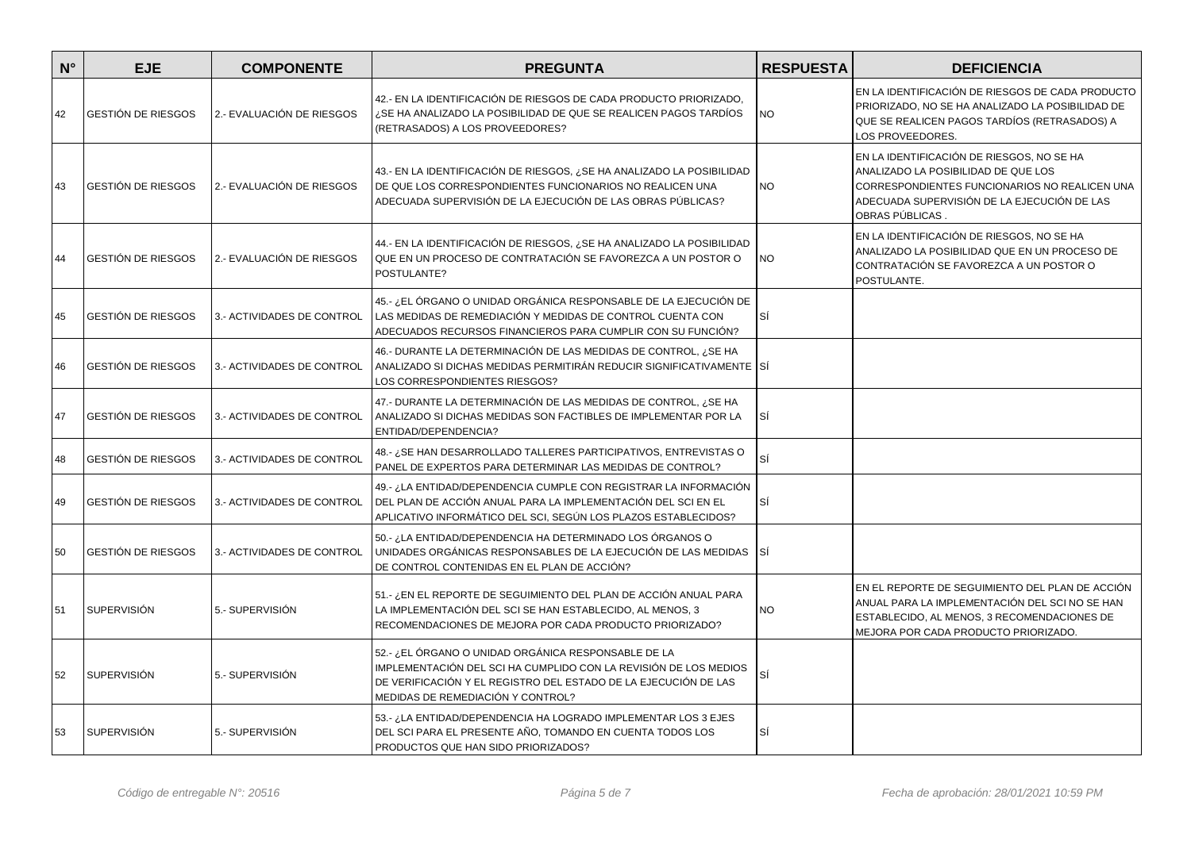| $N^{\circ}$ | <b>EJE</b>                | <b>COMPONENTE</b>          | <b>PREGUNTA</b>                                                                                                                                                                                                                | <b>RESPUESTA</b> | <b>DEFICIENCIA</b>                                                                                                                                                                                 |
|-------------|---------------------------|----------------------------|--------------------------------------------------------------------------------------------------------------------------------------------------------------------------------------------------------------------------------|------------------|----------------------------------------------------------------------------------------------------------------------------------------------------------------------------------------------------|
| 42          | <b>GESTIÓN DE RIESGOS</b> | 2.- EVALUACIÓN DE RIESGOS  | 42.- EN LA IDENTIFICACIÓN DE RIESGOS DE CADA PRODUCTO PRIORIZADO,<br>¿SE HA ANALIZADO LA POSIBILIDAD DE QUE SE REALICEN PAGOS TARDÍOS<br>(RETRASADOS) A LOS PROVEEDORES?                                                       | <b>NO</b>        | EN LA IDENTIFICACIÓN DE RIESGOS DE CADA PRODUCTO<br>PRIORIZADO, NO SE HA ANALIZADO LA POSIBILIDAD DE<br>QUE SE REALICEN PAGOS TARDÍOS (RETRASADOS) A<br>LOS PROVEEDORES.                           |
| 43          | <b>GESTIÓN DE RIESGOS</b> | 2.- EVALUACIÓN DE RIESGOS  | 43.- EN LA IDENTIFICACIÓN DE RIESGOS, ¿SE HA ANALIZADO LA POSIBILIDAD<br>DE QUE LOS CORRESPONDIENTES FUNCIONARIOS NO REALICEN UNA<br>ADECUADA SUPERVISIÓN DE LA EJECUCIÓN DE LAS OBRAS PÚBLICAS?                               | <b>NO</b>        | EN LA IDENTIFICACIÓN DE RIESGOS, NO SE HA<br>ANALIZADO LA POSIBILIDAD DE QUE LOS<br>CORRESPONDIENTES FUNCIONARIOS NO REALICEN UNA<br>ADECUADA SUPERVISIÓN DE LA EJECUCIÓN DE LAS<br>OBRAS PÚBLICAS |
| 44          | <b>GESTIÓN DE RIESGOS</b> | 2.- EVALUACIÓN DE RIESGOS  | 44.- EN LA IDENTIFICACIÓN DE RIESGOS, ¿SE HA ANALIZADO LA POSIBILIDAD<br>QUE EN UN PROCESO DE CONTRATACIÓN SE FAVOREZCA A UN POSTOR O<br>POSTULANTE?                                                                           | <b>NO</b>        | EN LA IDENTIFICACIÓN DE RIESGOS, NO SE HA<br>ANALIZADO LA POSIBILIDAD QUE EN UN PROCESO DE<br>CONTRATACIÓN SE FAVOREZCA A UN POSTOR O<br>POSTULANTE.                                               |
| 45          | <b>GESTIÓN DE RIESGOS</b> | 3.- ACTIVIDADES DE CONTROL | 45.- ¿EL ÓRGANO O UNIDAD ORGÁNICA RESPONSABLE DE LA EJECUCIÓN DE<br>LAS MEDIDAS DE REMEDIACIÓN Y MEDIDAS DE CONTROL CUENTA CON<br>ADECUADOS RECURSOS FINANCIEROS PARA CUMPLIR CON SU FUNCIÓN?                                  | ΙSί              |                                                                                                                                                                                                    |
| 46          | <b>GESTIÓN DE RIESGOS</b> | 3.- ACTIVIDADES DE CONTROL | 46.- DURANTE LA DETERMINACIÓN DE LAS MEDIDAS DE CONTROL, ¿SE HA<br>ANALIZADO SI DICHAS MEDIDAS PERMITIRÁN REDUCIR SIGNIFICATIVAMENTE SÍ<br>LOS CORRESPONDIENTES RIESGOS?                                                       |                  |                                                                                                                                                                                                    |
| 47          | <b>GESTIÓN DE RIESGOS</b> | 3.- ACTIVIDADES DE CONTROL | 47.- DURANTE LA DETERMINACIÓN DE LAS MEDIDAS DE CONTROL, ¿SE HA<br>ANALIZADO SI DICHAS MEDIDAS SON FACTIBLES DE IMPLEMENTAR POR LA<br>ENTIDAD/DEPENDENCIA?                                                                     | SÍ               |                                                                                                                                                                                                    |
| 48          | <b>GESTIÓN DE RIESGOS</b> | 3.- ACTIVIDADES DE CONTROL | 48.-¿SE HAN DESARROLLADO TALLERES PARTICIPATIVOS, ENTREVISTAS O<br>PANEL DE EXPERTOS PARA DETERMINAR LAS MEDIDAS DE CONTROL?                                                                                                   | SÍ               |                                                                                                                                                                                                    |
| 49          | <b>GESTIÓN DE RIESGOS</b> | 3.- ACTIVIDADES DE CONTROL | 49.- ¿LA ENTIDAD/DEPENDENCIA CUMPLE CON REGISTRAR LA INFORMACIÓN<br>DEL PLAN DE ACCIÓN ANUAL PARA LA IMPLEMENTACIÓN DEL SCI EN EL<br>APLICATIVO INFORMÁTICO DEL SCI, SEGÚN LOS PLAZOS ESTABLECIDOS?                            | SÍ               |                                                                                                                                                                                                    |
| 50          | <b>GESTIÓN DE RIESGOS</b> | 3.- ACTIVIDADES DE CONTROL | 50.- ¿LA ENTIDAD/DEPENDENCIA HA DETERMINADO LOS ÓRGANOS O<br>UNIDADES ORGÁNICAS RESPONSABLES DE LA EJECUCIÓN DE LAS MEDIDAS<br>DE CONTROL CONTENIDAS EN EL PLAN DE ACCIÓN?                                                     | lSÍ              |                                                                                                                                                                                                    |
| 51          | <b>SUPERVISIÓN</b>        | 5.- SUPERVISIÓN            | 51.- ¿EN EL REPORTE DE SEGUIMIENTO DEL PLAN DE ACCIÓN ANUAL PARA<br>LA IMPLEMENTACIÓN DEL SCI SE HAN ESTABLECIDO, AL MENOS, 3<br>RECOMENDACIONES DE MEJORA POR CADA PRODUCTO PRIORIZADO?                                       | <b>NO</b>        | EN EL REPORTE DE SEGUIMIENTO DEL PLAN DE ACCIÓN<br>ANUAL PARA LA IMPLEMENTACIÓN DEL SCI NO SE HAN<br>ESTABLECIDO, AL MENOS, 3 RECOMENDACIONES DE<br>MEJORA POR CADA PRODUCTO PRIORIZADO.           |
| 52          | SUPERVISIÓN               | 5.- SUPERVISIÓN            | 52.-¿EL ÓRGANO O UNIDAD ORGÁNICA RESPONSABLE DE LA<br>IMPLEMENTACIÓN DEL SCI HA CUMPLIDO CON LA REVISIÓN DE LOS MEDIOS<br>DE VERIFICACIÓN Y EL REGISTRO DEL ESTADO DE LA EJECUCIÓN DE LAS<br>MEDIDAS DE REMEDIACIÓN Y CONTROL? | SÍ               |                                                                                                                                                                                                    |
| 53          | <b>SUPERVISIÓN</b>        | 5.- SUPERVISIÓN            | 53.- ¿LA ENTIDAD/DEPENDENCIA HA LOGRADO IMPLEMENTAR LOS 3 EJES<br>DEL SCI PARA EL PRESENTE AÑO, TOMANDO EN CUENTA TODOS LOS<br>PRODUCTOS QUE HAN SIDO PRIORIZADOS?                                                             | SÍ               |                                                                                                                                                                                                    |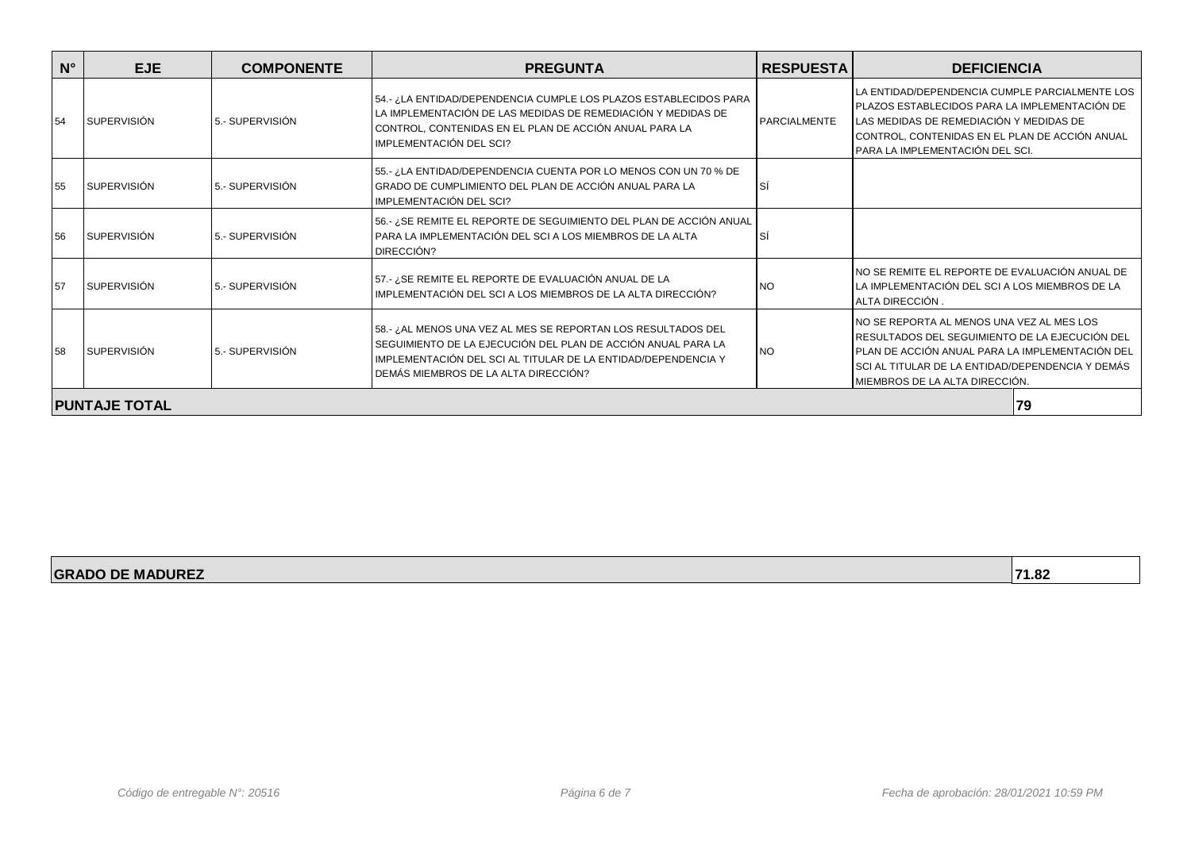| $N^{\circ}$ | <b>EJE</b>                  | <b>COMPONENTE</b> | <b>PREGUNTA</b>                                                                                                                                                                                                                          | <b>RESPUESTA</b>    | <b>DEFICIENCIA</b>                                                                                                                                                                                                                   |  |
|-------------|-----------------------------|-------------------|------------------------------------------------------------------------------------------------------------------------------------------------------------------------------------------------------------------------------------------|---------------------|--------------------------------------------------------------------------------------------------------------------------------------------------------------------------------------------------------------------------------------|--|
| 54          | <b>SUPERVISIÓN</b>          | 5.- SUPERVISIÓN   | 54.- ¿LA ENTIDAD/DEPENDENCIA CUMPLE LOS PLAZOS ESTABLECIDOS PARA<br>LA IMPLEMENTACIÓN DE LAS MEDIDAS DE REMEDIACIÓN Y MEDIDAS DE<br>CONTROL, CONTENIDAS EN EL PLAN DE ACCIÓN ANUAL PARA LA<br>IMPLEMENTACIÓN DEL SCI?                    | <b>PARCIALMENTE</b> | LA ENTIDAD/DEPENDENCIA CUMPLE PARCIALMENTE LOS<br>PLAZOS ESTABLECIDOS PARA LA IMPLEMENTACIÓN DE<br>LAS MEDIDAS DE REMEDIACIÓN Y MEDIDAS DE<br>CONTROL, CONTENIDAS EN EL PLAN DE ACCIÓN ANUAL<br>PARA LA IMPLEMENTACIÓN DEL SCI.      |  |
| 55          | <b>SUPERVISIÓN</b>          | 5.- SUPERVISIÓN   | 55.- ¿LA ENTIDAD/DEPENDENCIA CUENTA POR LO MENOS CON UN 70 % DE<br>GRADO DE CUMPLIMIENTO DEL PLAN DE ACCIÓN ANUAL PARA LA<br>IMPLEMENTACIÓN DEL SCI?                                                                                     |                     |                                                                                                                                                                                                                                      |  |
| 56          | <b>SUPERVISIÓN</b>          | 5.- SUPERVISIÓN   | 56.- ¿SE REMITE EL REPORTE DE SEGUIMIENTO DEL PLAN DE ACCIÓN ANUAL<br>PARA LA IMPLEMENTACIÓN DEL SCI A LOS MIEMBROS DE LA ALTA<br>DIRECCIÓN?                                                                                             |                     |                                                                                                                                                                                                                                      |  |
| 57          | <b>SUPERVISIÓN</b>          | 5.- SUPERVISIÓN   | 57.- ¿SE REMITE EL REPORTE DE EVALUACIÓN ANUAL DE LA<br>IMPLEMENTACIÓN DEL SCI A LOS MIEMBROS DE LA ALTA DIRECCIÓN?                                                                                                                      | <b>NO</b>           | NO SE REMITE EL REPORTE DE EVALUACIÓN ANUAL DE<br>LA IMPLEMENTACIÓN DEL SCI A LOS MIEMBROS DE LA<br>ALTA DIRECCIÓN.                                                                                                                  |  |
| 58          | <b>SUPERVISIÓN</b>          | 5.- SUPERVISIÓN   | 58.- ¿AL MENOS UNA VEZ AL MES SE REPORTAN LOS RESULTADOS DEL<br>SEGUIMIENTO DE LA EJECUCIÓN DEL PLAN DE ACCIÓN ANUAL PARA LA<br>IIMPLEMENTACIÓN DEL SCI AL TITULAR DE LA ENTIDAD/DEPENDENCIA Y<br>I DEMÁS MIEMBROS DE LA ALTA DIRECCIÓN? | <b>NO</b>           | NO SE REPORTA AL MENOS UNA VEZ AL MES LOS<br>RESULTADOS DEL SEGUIMIENTO DE LA EJECUCIÓN DEL<br>PLAN DE ACCIÓN ANUAL PARA LA IMPLEMENTACIÓN DEL<br>SCI AL TITULAR DE LA ENTIDAD/DEPENDENCIA Y DEMÁS<br>MIEMBROS DE LA ALTA DIRECCIÓN. |  |
|             | <b>PUNTAJE TOTAL</b><br> 79 |                   |                                                                                                                                                                                                                                          |                     |                                                                                                                                                                                                                                      |  |

| <b>GRADO DE MADUREZ</b> | 74.00<br>1.OZ |
|-------------------------|---------------|
|                         |               |

┱